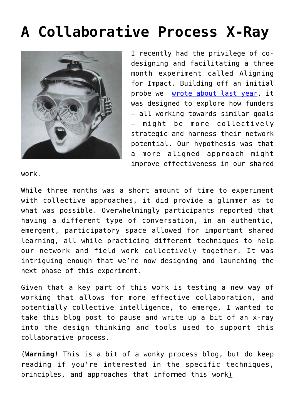# **[A Collaborative Process X-Ray](https://groupaya.net/a-collaborative-process-x-ray/)**



I recently had the privilege of codesigning and facilitating a three month experiment called Aligning for Impact. Building off an initial probe we [wrote about last year,](http://groupaya.net/aligning-for-impact-a-recap/) it was designed to explore how funders — all working towards similar goals — might be more collectively strategic and harness their network potential. Our hypothesis was that a more aligned approach might improve effectiveness in our shared

work.

While three months was a short amount of time to experiment with collective approaches, it did provide a glimmer as to what was possible. Overwhelmingly participants reported that having a different type of conversation, in an authentic, emergent, participatory space allowed for important shared learning, all while practicing different techniques to help our network and field work collectively together. It was intriguing enough that we're now designing and launching the next phase of this experiment.

Given that a key part of this work is testing a new way of working that allows for more effective collaboration, and potentially collective intelligence, to emerge, I wanted to take this blog post to pause and write up a bit of an x-ray into the design thinking and tools used to support this collaborative process.

(**Warning!** This is a bit of a wonky process blog, but do keep reading if you're interested in the specific techniques, principles, and approaches that informed this work)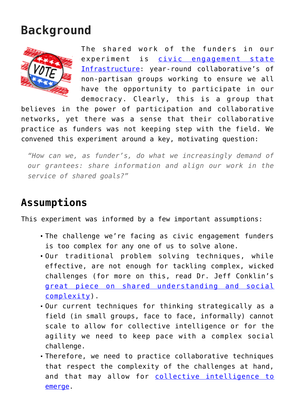## **Background**



The shared work of the funders in our experiment is [civic engagement state](http://www.statevoices.org/about-us/) [Infrastructure:](http://www.statevoices.org/about-us/) year-round collaborative's of non-partisan groups working to ensure we all have the opportunity to participate in our democracy. Clearly, this is a group that

believes in the power of participation and collaborative networks, yet there was a sense that their collaborative practice as funders was not keeping step with the field. We convened this experiment around a key, motivating question:

*"How can we, as funder's, do what we increasingly demand of our grantees: share information and align our work in the service of shared goals?"*

#### **Assumptions**

This experiment was informed by a few important assumptions:

- The challenge we're facing as civic engagement funders is too complex for any one of us to solve alone.
- Our traditional problem solving techniques, while effective, are not enough for tackling complex, wicked challenges (for more on this, read Dr. Jeff Conklin's [great piece on shared understanding and social](http://cognexus.org/wpf/wickedproblems.pdf) [complexity\)](http://cognexus.org/wpf/wickedproblems.pdf).
- Our current techniques for thinking strategically as a field (in small groups, face to face, informally) cannot scale to allow for collective intelligence or for the agility we need to keep pace with a complex social challenge.
- Therefore, we need to practice collaborative techniques that respect the complexity of the challenges at hand, and that may allow for [collective intelligence to](http://www.tacticalphilanthropy.com/2011/06/collective-intelligence-in-philanthropy/) [emerge](http://www.tacticalphilanthropy.com/2011/06/collective-intelligence-in-philanthropy/).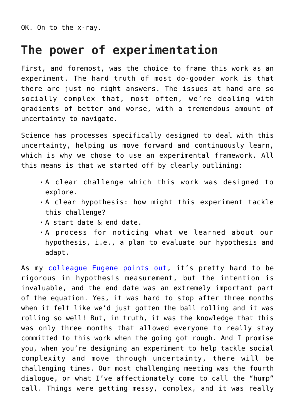OK. On to the x-ray.

#### **The power of experimentation**

First, and foremost, was the choice to frame this work as an experiment. The hard truth of most do-gooder work is that there are just no right answers. The issues at hand are so socially complex that, most often, we're dealing with gradients of better and worse, with a tremendous amount of uncertainty to navigate.

Science has processes specifically designed to deal with this uncertainty, helping us move forward and continuously learn, which is why we chose to use an experimental framework. All this means is that we started off by clearly outlining:

- A clear challenge which this work was designed to explore.
- A clear hypothesis: how might this experiment tackle this challenge?
- A start date & end date.
- A process for noticing what we learned about our hypothesis, i.e., a plan to evaluate our hypothesis and adapt.

As my [colleague Eugene points out](http://fasterthan20.com/2014/03/getting-real-about-experiments-and-learning/), it's pretty hard to be rigorous in hypothesis measurement, but the intention is invaluable, and the end date was an extremely important part of the equation. Yes, it was hard to stop after three months when it felt like we'd just gotten the ball rolling and it was rolling so well! But, in truth, it was the knowledge that this was only three months that allowed everyone to really stay committed to this work when the going got rough. And I promise you, when you're designing an experiment to help tackle social complexity and move through uncertainty, there will be challenging times. Our most challenging meeting was the fourth dialogue, or what I've affectionately come to call the "hump" call. Things were getting messy, complex, and it was really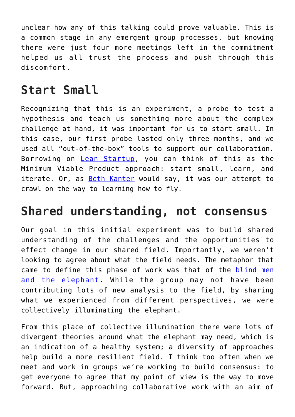unclear how any of this talking could prove valuable. This is a common stage in any emergent group processes, but knowing there were just four more meetings left in the commitment helped us all trust the process and push through this discomfort.

## **Start Small**

Recognizing that this is an experiment, a probe to test a hypothesis and teach us something more about the complex challenge at hand, it was important for us to start small. In this case, our first probe lasted only three months, and we used all "out-of-the-box" tools to support our collaboration. Borrowing on [Lean Startup](http://theleanstartup.com/principles), you can think of this as the Minimum Viable Product approach: start small, learn, and iterate. Or, as [Beth Kanter](http://www.bethkanter.org/) would say, it was our attempt to crawl on the way to learning how to fly.

## **Shared understanding, not consensus**

Our goal in this initial experiment was to build shared understanding of the challenges and the opportunities to effect change in our shared field. Importantly, we weren't looking to agree about what the field needs. The metaphor that came to define this phase of work was that of the [blind men](http://en.wikipedia.org/wiki/Blind_men_and_an_elephant) [and the elephant.](http://en.wikipedia.org/wiki/Blind_men_and_an_elephant) While the group may not have been contributing lots of new analysis to the field, by sharing what we experienced from different perspectives, we were collectively illuminating the elephant.

From this place of collective illumination there were lots of divergent theories around what the elephant may need, which is an indication of a healthy system; a diversity of approaches help build a more resilient field. I think too often when we meet and work in groups we're working to build consensus: to get everyone to agree that my point of view is the way to move forward. But, approaching collaborative work with an aim of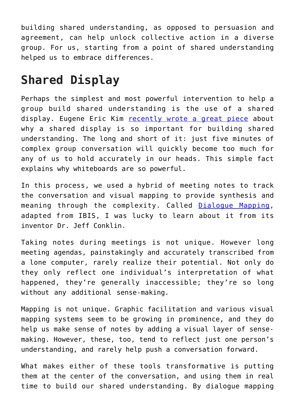building shared understanding, as opposed to persuasion and agreement, can help unlock collective action in a diverse group. For us, starting from a point of shared understanding helped us to embrace differences.

# **Shared Display**

Perhaps the simplest and most powerful intervention to help a group build shared understanding is the use of a shared display. Eugene Eric Kim [recently wrote a great piece](http://fasterthan20.com/2014/02/tic-tac-toe-and-the-squirm-test-building-trust-and-shared-understanding/) about why a shared display is so important for building shared understanding. The long and short of it: just five minutes of complex group conversation will quickly become too much for any of us to hold accurately in our heads. This simple fact explains why whiteboards are so powerful.

In this process, we used a hybrid of meeting notes to track the conversation and visual mapping to provide synthesis and meaning through the complexity. Called [Dialogue Mapping,](http://cognexus.org/id41.htm) adapted from IBIS, I was lucky to learn about it from its inventor Dr. Jeff Conklin.

Taking notes during meetings is not unique. However long meeting agendas, painstakingly and accurately transcribed from a lone computer, rarely realize their potential. Not only do they only reflect one individual's interpretation of what happened, they're generally inaccessible; they're so long without any additional sense-making.

Mapping is not unique. Graphic facilitation and various visual mapping systems seem to be growing in prominence, and they do help us make sense of notes by adding a visual layer of sensemaking. However, these, too, tend to reflect just one person's understanding, and rarely help push a conversation forward.

What makes either of these tools transformative is putting them at the center of the conversation, and using them in real time to build our shared understanding. By dialogue mapping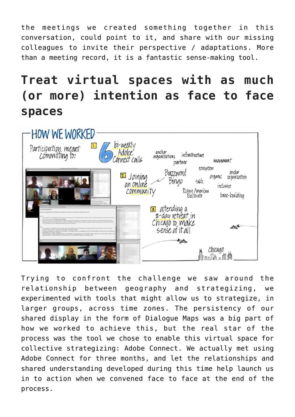the meetings we created something together in this conversation, could point to it, and share with our missing colleagues to invite their perspective / adaptations. More than a meeting record, it is a fantastic sense-making tool.

# **Treat virtual spaces with as much (or more) intention as face to face spaces**



Trying to confront the challenge we saw around the relationship between geography and strategizing, we experimented with tools that might allow us to strategize, in larger groups, across time zones. The persistency of our shared display in the form of Dialogue Maps was a big part of how we worked to achieve this, but the real star of the process was the tool we chose to enable this virtual space for collective strategizing: Adobe Connect. We actually met using Adobe Connect for three months, and let the relationships and shared understanding developed during this time help launch us in to action when we convened face to face at the end of the process.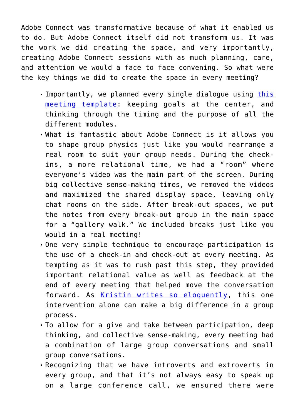Adobe Connect was transformative because of what it enabled us to do. But Adobe Connect itself did not transform us. It was the work we did creating the space, and very importantly, creating Adobe Connect sessions with as much planning, care, and attention we would a face to face convening. So what were the key things we did to create the space in every meeting?

- Importantly, we planned every single dialogue using [this](http://fasterthan20.com/toolkit/meeting-templates/) [meeting template](http://fasterthan20.com/toolkit/meeting-templates/): keeping goals at the center, and thinking through the timing and the purpose of all the different modules.
- What is fantastic about Adobe Connect is it allows you to shape group physics just like you would rearrange a real room to suit your group needs. During the checkins, a more relational time, we had a "room" where everyone's video was the main part of the screen. During big collective sense-making times, we removed the videos and maximized the shared display space, leaving only chat rooms on the side. After break-out spaces, we put the notes from every break-out group in the main space for a "gallery walk." We included breaks just like you would in a real meeting!
- One very simple technique to encourage participation is the use of a check-in and check-out at every meeting. As tempting as it was to rush past this step, they provided important relational value as well as feedback at the end of every meeting that helped move the conversation forward. As [Kristin writes so eloquently,](http://time.com/author/kristin-cobble/) this one intervention alone can make a big difference in a group process.
- To allow for a give and take between participation, deep thinking, and collective sense-making, every meeting had a combination of large group conversations and small group conversations.
- Recognizing that we have introverts and extroverts in every group, and that it's not always easy to speak up on a large conference call, we ensured there were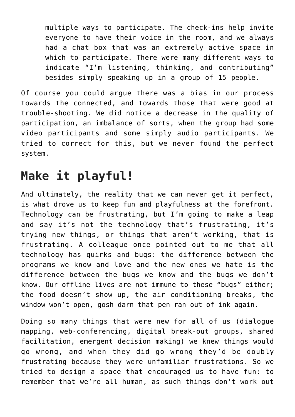multiple ways to participate. The check-ins help invite everyone to have their voice in the room, and we always had a chat box that was an extremely active space in which to participate. There were many different ways to indicate "I'm listening, thinking, and contributing" besides simply speaking up in a group of 15 people.

Of course you could argue there was a bias in our process towards the connected, and towards those that were good at trouble-shooting. We did notice a decrease in the quality of participation, an imbalance of sorts, when the group had some video participants and some simply audio participants. We tried to correct for this, but we never found the perfect system.

## **Make it playful!**

And ultimately, the reality that we can never get it perfect, is what drove us to keep fun and playfulness at the forefront. Technology can be frustrating, but I'm going to make a leap and say it's not the technology that's frustrating, it's trying new things, or things that aren't working, that is frustrating. A colleague once pointed out to me that all technology has quirks and bugs: the difference between the programs we know and love and the new ones we hate is the difference between the bugs we know and the bugs we don't know. Our offline lives are not immune to these "bugs" either; the food doesn't show up, the air conditioning breaks, the window won't open, gosh darn that pen ran out of ink again.

Doing so many things that were new for all of us (dialogue mapping, web-conferencing, digital break-out groups, shared facilitation, emergent decision making) we knew things would go wrong, and when they did go wrong they'd be doubly frustrating because they were unfamiliar frustrations. So we tried to design a space that encouraged us to have fun: to remember that we're all human, as such things don't work out